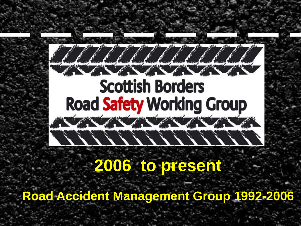### • Click to edit Master text styles  $\bullet$  Second level  $\bullet$ **Road**  $\mathcal{L}(\mathcal{N})$

Click to the Click of the Second Property

### **2006 to present**

 $\mathcal{L}$ 

**Road Accident Management Group 1992-2006**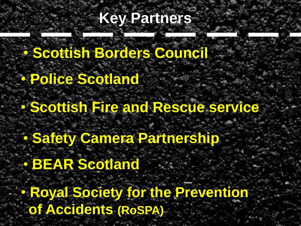#### Click to the Click to edit Master the South States **Key Partners**

• Click to edit Master text styles • **Scottish Borders Council**

• **Police Scotland** 

• Scottish • Fourth level • **Scottish Fire and Rescue service**

• **Safety Camera Partnership** 

• **BEAR Scotland** 

• **Royal Society for the Prevention of Accidents (RoSPA)**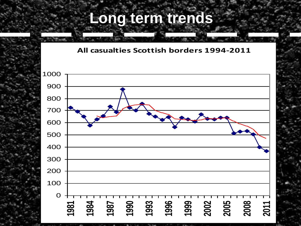#### Click to edit Master title style style **Long term trends**

**Fatal/Serious Road Casualties 1981-2012 All casualties Scottish borders 1994-2011 Scottish Borders**

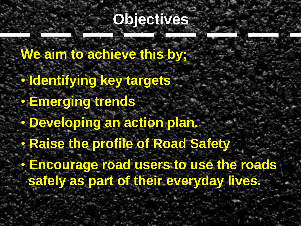#### Click to edit Master the Second State **Objectives**

• Clini Corollic Corollic to edit • Identifying key targets • **Emerging trends** • **Developing an action plan.** • Raise the **We aim to achieve this by;** • **Raise the profile of Road Safety** • **Encourage road users to use the roads safely as part of their everyday lives.**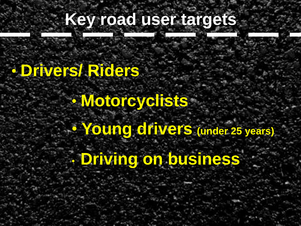#### C. C. Click to edit Master **Key road user targets**

#### **Drivered Dideres** • Second level • **Drivers/ Riders**

### • Motorcyclists

#### • Fourth level  $\mathcal{F} = \mathcal{F} \mathcal{F} \mathcal{F} \mathcal{F}$ • **Young drivers (under 25 years)**

• **Driving on business**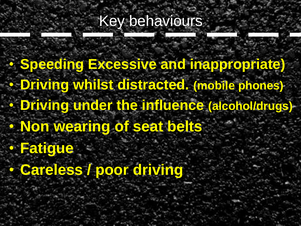#### **Collection to the Master time state of the Master State Street, and the Master Street, and the Master Street, and the Master Street, and the Master Street, and the Master Street, and the Master Street, and the Master Stre** Key behaviours

• Speeding Excessive and inappropriate) **• Driving whilst distracted. (mobile phones) Driving up** Non westin • Fifth level • **Driving under the influence (alcohol/drugs)** • **Non wearing of seat belts** • **Fatigue** • **Careless / poor driving**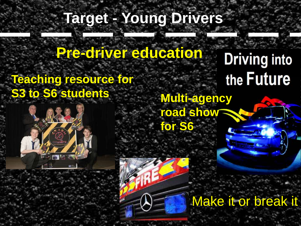#### Click to edit Master the Style style style **Target - Young Drivers**

• Click to edit Master text styles **Pre-driver education**

**Teaching resource for From State S3 to S6 students Multi-agency** 

 $\mathcal{F}(\mathcal{L})$ 

rah 1975

the Future **road show for S6**

Make it or break it

**Driving into**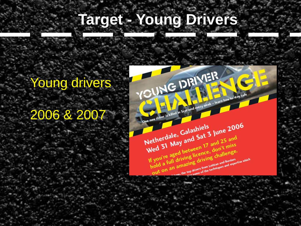#### <u>Click to edit Master style</u> **Target - Young Drivers**

#### Young drivers

#### • Third level <u>zuud & zuu</u> 2006 & 2007

 $\mathcal{F} = \mathcal{F} \mathcal{F} \mathcal{F} \mathcal{F}$ 

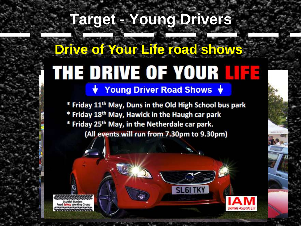#### Click to edit Master the State **Target - Young Drivers**

#### • Click to edit Master text styles • Second level **Drive of Your Life road shows 2007, 2009, 2012**

\* Friday 11<sup>th</sup> May, Duns in the Old High School bus park \* Friday 18<sup>th</sup> May, Hawick in the Haugh car park<br>\* Friday 25<sup>th</sup> May, in the Netherdale car park. • Fifth level

**SL6ITKY** 



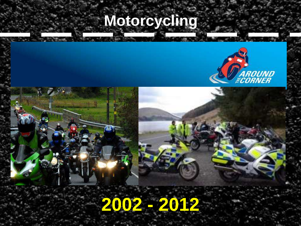#### Click to the style to edit the style style style style style style style style style **Motorcycling**



10



## **2002 - 2012**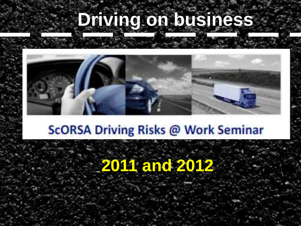#### Climate to edit Master **Driving on business**



### **Figure 1999 Control**

### **2011 and 2012**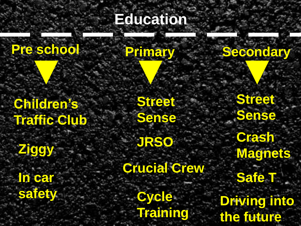#### Click to the style style style style **Education**

#### **Pre school Primary Secondary**

• Click to edit Master text styles

Children's Traffic Club

• Second level

• Fifth level **Ziggy In car safety**

**Street Sense**

**JRSO**

**Crucial Crew**

**Cycle Training**

the future **Street Sense Crash Magnets Safe T Driving into**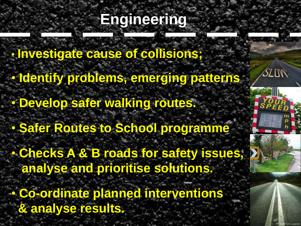#### Click to the Click to edit Master **Engineering**

**Figure to edit Master the Master** <u>identify propie</u> • **Develop safer walking routes.**  $\frac{1}{2}$  $\mathcal{F} = \mathcal{F} \mathcal{F} \mathcal{F} \mathcal{F}$ • **Investigate cause of collisions;** • **Identify problems, emerging patterns** • **Safer Routes to School programme**  • **Checks A & B roads for safety issues, analyse and prioritise solutions.** • **Co-ordinate planned interventions & analyse results.**

13

SLOW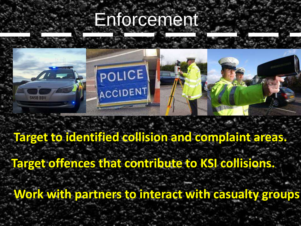#### College to the Click to the style state Enforcement



### **Target to identified collision and complaint areas.**

**Target offences that contribute to KSI collisions.**

**Work with partners to interact with casualty groups**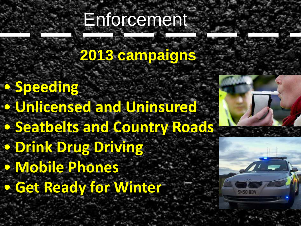#### Colick to edit Master Enforcement

#### er en dit master to edit master text styles **2013 campaigns**

• Second level **Inlicensed** sofholte an • Fifth level • **Speeding**  • **Unlicensed and Uninsured** • **Seatbelts and Country Roads**  • **Drink Drug Driving**  • **Mobile Phones** • **Get Ready for Winter**

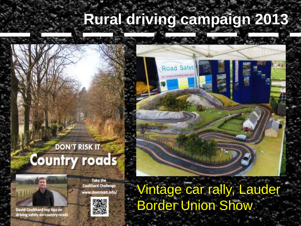#### Click the steamperent st **Rural driving campaign 2013**

#### **DON'T RISK IT Country roads**

• Second level

• Third level

**E** Fourth Level

**Take the Coulthard Challenge** www.dontriskit.info/

**WARE AND START TO EXAMPLE STATE** 



David Coulthard top tips on driving safely on country roads



16 Vintage car rally, Lauder Border Union Show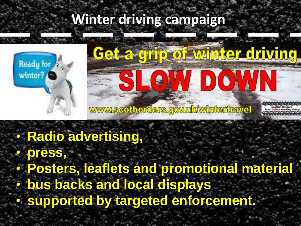#### winter unving tompaign the **Winter driving campaign**



# Ready for Keeping [Click to ed](http://www.google.co.uk/imgres?imgurl=http://blogs.educationscotland.gov.uk/glowscotland/files/2012/10/Ready-for-Winter-Westie.jpg&imgrefurl=http://blogs.educationscotland.gov.uk/glowscotland/2012/10/14/ready-for-winter/&usg=__QUB9Ln-CCLU7fYUmEWBInuVPwno=&h=1985&w=2718&sz=423&hl=en&start=1&zoom=1&tbnid=6qgVnSxalj9EUM:&tbnh=110&tbnw=150&ei=hXj6Ua_DD4e50QWe7IHIBg&prev=/search%3Fq%3Dready%2Bfor%2Bwinter%26hl%3Den-GB%26gbv%3D2%26tbm%3Disch&itbs=1&sa=X&ved=0CCwQrQMwAA)it a corrisp of winter driving 6

#### • <mark>Radio ad</mark>y • **Radio advertising,**

17 • **press,**  • **Posters, leaflets and promotional material**  • **bus backs and local displays**  • **supported by targeted enforcement.**